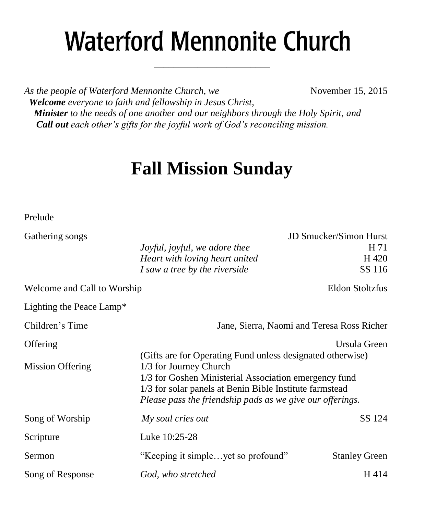# **Waterford Mennonite Church**

\_\_\_\_\_\_\_\_\_\_\_\_\_\_\_\_\_\_\_\_\_\_\_\_

*As the people of Waterford Mennonite Church, we* November 15, 2015  *Welcome everyone to faith and fellowship in Jesus Christ, Minister to the needs of one another and our neighbors through the Holy Spirit, and Call out each other's gifts for the joyful work of God's reconciling mission.*

# **Fall Mission Sunday**

Prelude

| Gathering songs             | JD Smucker/Simon Hurst                                     |                        |  |
|-----------------------------|------------------------------------------------------------|------------------------|--|
|                             | Joyful, joyful, we adore thee                              | H 71                   |  |
|                             | Heart with loving heart united                             | H 420                  |  |
|                             | I saw a tree by the riverside                              | SS 116                 |  |
| Welcome and Call to Worship |                                                            | <b>Eldon Stoltzfus</b> |  |
| Lighting the Peace Lamp*    |                                                            |                        |  |
| Children's Time             | Jane, Sierra, Naomi and Teresa Ross Richer                 |                        |  |
| Offering                    |                                                            | Ursula Green           |  |
|                             | (Gifts are for Operating Fund unless designated otherwise) |                        |  |
| <b>Mission Offering</b>     | 1/3 for Journey Church                                     |                        |  |
|                             | 1/3 for Goshen Ministerial Association emergency fund      |                        |  |
|                             | 1/3 for solar panels at Benin Bible Institute farmstead    |                        |  |
|                             | Please pass the friendship pads as we give our offerings.  |                        |  |
| Song of Worship             | My soul cries out                                          | SS 124                 |  |
| Scripture                   | Luke 10:25-28                                              |                        |  |
| Sermon                      | "Keeping it simpleyet so profound"                         | <b>Stanley Green</b>   |  |
| Song of Response            | God, who stretched                                         | H414                   |  |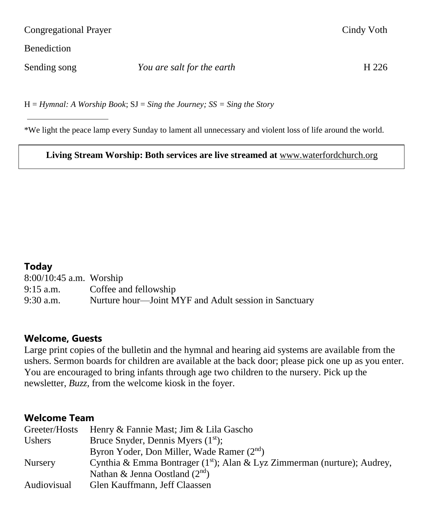Congregational Prayer Cindy Voth

**Benediction** 

Sending song *You are salt for the earth* H 226

H = *Hymnal: A Worship Book*; SJ = *Sing the Journey; SS = Sing the Story*

\*We light the peace lamp every Sunday to lament all unnecessary and violent loss of life around the world.

**Living Stream Worship: Both services are live streamed at** [www.waterfordchurch.org](http://www.waterfordchurch.org/)

#### **Today**

8:00/10:45 a.m. Worship 9:15 a.m. Coffee and fellowship 9:30 a.m. Nurture hour—Joint MYF and Adult session in Sanctuary

#### **Welcome, Guests**

Large print copies of the bulletin and the hymnal and hearing aid systems are available from the ushers. Sermon boards for children are available at the back door; please pick one up as you enter. You are encouraged to bring infants through age two children to the nursery. Pick up the newsletter, *Buzz,* from the welcome kiosk in the foyer.

#### **Welcome Team**

| Greeter/Hosts  | Henry & Fannie Mast; Jim & Lila Gascho                                               |
|----------------|--------------------------------------------------------------------------------------|
| <b>Ushers</b>  | Bruce Snyder, Dennis Myers $(1st)$ ;                                                 |
|                | Byron Yoder, Don Miller, Wade Ramer (2 <sup>nd</sup> )                               |
| <b>Nursery</b> | Cynthia & Emma Bontrager (1 <sup>st</sup> ); Alan & Lyz Zimmerman (nurture); Audrey, |
|                | Nathan & Jenna Oostland $(2^{nd})$                                                   |
| Audiovisual    | Glen Kauffmann, Jeff Claassen                                                        |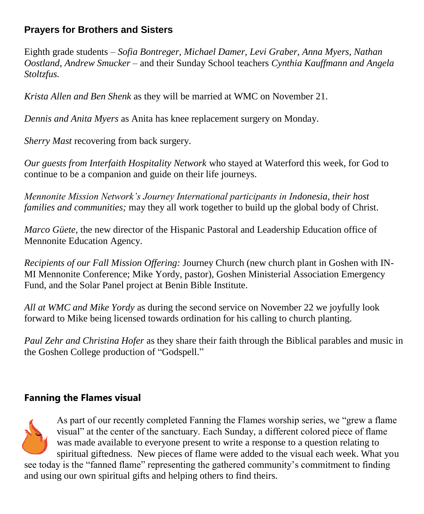# **Prayers for Brothers and Sisters**

Eighth grade students *– Sofia Bontreger, Michael Damer, Levi Graber, Anna Myers, Nathan Oostland, Andrew Smucker –* and their Sunday School teachers *Cynthia Kauffmann and Angela Stoltzfus.* 

*Krista Allen and Ben Shenk* as they will be married at WMC on November 21.

*Dennis and Anita Myers* as Anita has knee replacement surgery on Monday.

*Sherry Mast* recovering from back surgery.

*Our guests from Interfaith Hospitality Network* who stayed at Waterford this week, for God to continue to be a companion and guide on their life journeys.

*Mennonite Mission Network's Journey International participants in Indonesia, their host families and communities;* may they all work together to build up the global body of Christ.

*Marco Güete*, the new director of the Hispanic Pastoral and Leadership Education office of Mennonite Education Agency.

*Recipients of our Fall Mission Offering:* Journey Church (new church plant in Goshen with IN-MI Mennonite Conference; Mike Yordy, pastor), Goshen Ministerial Association Emergency Fund, and the Solar Panel project at Benin Bible Institute.

*All at WMC and Mike Yordy* as during the second service on November 22 we joyfully look forward to Mike being licensed towards ordination for his calling to church planting.

*Paul Zehr and Christina Hofer* as they share their faith through the Biblical parables and music in the Goshen College production of "Godspell."

# **Fanning the Flames visual**



As part of our recently completed Fanning the Flames worship series, we "grew a flame visual" at the center of the sanctuary. Each Sunday, a different colored piece of flame was made available to everyone present to write a response to a question relating to spiritual giftedness. New pieces of flame were added to the visual each week. What you

see today is the "fanned flame" representing the gathered community's commitment to finding and using our own spiritual gifts and helping others to find theirs.